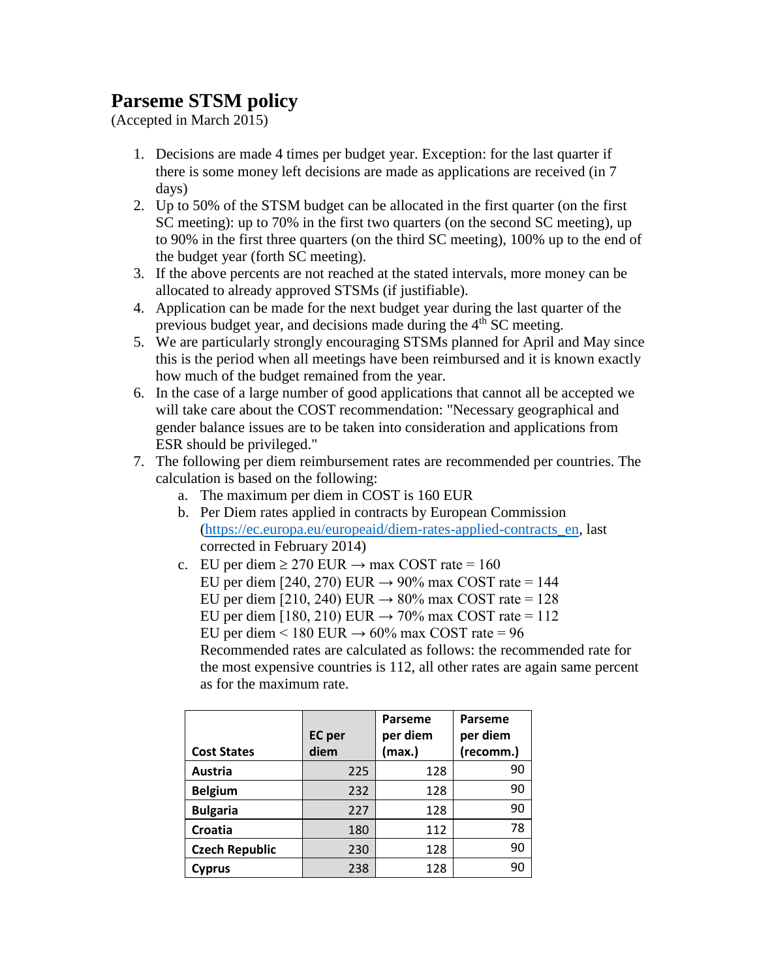## **Parseme STSM policy**

(Accepted in March 2015)

- 1. Decisions are made 4 times per budget year. Exception: for the last quarter if there is some money left decisions are made as applications are received (in 7 days)
- 2. Up to 50% of the STSM budget can be allocated in the first quarter (on the first SC meeting): up to 70% in the first two quarters (on the second SC meeting), up to 90% in the first three quarters (on the third SC meeting), 100% up to the end of the budget year (forth SC meeting).
- 3. If the above percents are not reached at the stated intervals, more money can be allocated to already approved STSMs (if justifiable).
- 4. Application can be made for the next budget year during the last quarter of the previous budget year, and decisions made during the 4<sup>th</sup> SC meeting.
- 5. We are particularly strongly encouraging STSMs planned for April and May since this is the period when all meetings have been reimbursed and it is known exactly how much of the budget remained from the year.
- 6. In the case of a large number of good applications that cannot all be accepted we will take care about the COST recommendation: "Necessary geographical and gender balance issues are to be taken into consideration and applications from ESR should be privileged."
- 7. The following per diem reimbursement rates are recommended per countries. The calculation is based on the following:
	- a. The maximum per diem in COST is 160 EUR
	- b. Per Diem rates applied in contracts by European Commission [\(https://ec.europa.eu/europeaid/diem-rates-applied-contracts\\_en,](https://ec.europa.eu/europeaid/diem-rates-applied-contracts_en) last corrected in February 2014)
	- c. EU per diem  $\geq$  270 EUR  $\rightarrow$  max COST rate = 160 EU per diem [240, 270) EUR  $\rightarrow$  90% max COST rate = 144 EU per diem [210, 240) EUR  $\rightarrow$  80% max COST rate = 128 EU per diem [180, 210) EUR  $\rightarrow$  70% max COST rate = 112 EU per diem < 180 EUR  $\rightarrow$  60% max COST rate = 96 Recommended rates are calculated as follows: the recommended rate for the most expensive countries is 112, all other rates are again same percent as for the maximum rate.

| <b>Cost States</b>    | <b>EC</b> per<br>diem | Parseme<br>per diem<br>(max.) | Parseme<br>per diem<br>(recomm.) |
|-----------------------|-----------------------|-------------------------------|----------------------------------|
| Austria               | 225                   | 128                           | 90                               |
| <b>Belgium</b>        | 232                   | 128                           | 90                               |
| <b>Bulgaria</b>       | 227                   | 128                           | 90                               |
| Croatia               | 180                   | 112                           | 78                               |
| <b>Czech Republic</b> | 230                   | 128                           | 90                               |
| Cyprus                | 238                   | 128                           | 90                               |